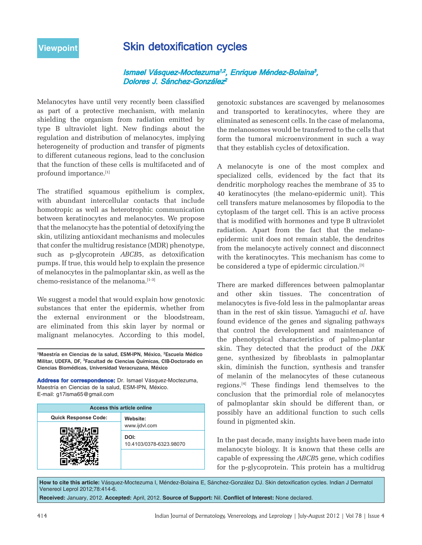## **Viewpoint** Skin detoxification cycles

Ismael Vásquez-Moctezuma<sup>1,2</sup>, Enrique Méndez-Bolaina<sup>3</sup>, Dolores J. Sánchez-González<sup>2</sup>

Melanocytes have until very recently been classified as part of a protective mechanism, with melanin shielding the organism from radiation emitted by type B ultraviolet light. New findings about the regulation and distribution of melanocytes, implying heterogeneity of production and transfer of pigments to different cutaneous regions, lead to the conclusion that the function of these cells is multifaceted and of profound importance.[1]

The stratified squamous epithelium is complex, with abundant intercellular contacts that include homotropic as well as heterotrophic communication between keratinocytes and melanocytes. We propose that the melanocyte has the potential of detoxifying the skin, utilizing antioxidant mechanisms and molecules that confer the multidrug resistance (MDR) phenotype, such as p-glycoprotein *ABCB*5, as detoxification pumps. If true, this would help to explain the presence of melanocytes in the palmoplantar skin, as well as the chemo-resistance of the melanoma.<sup>[1-3]</sup>

We suggest a model that would explain how genotoxic substances that enter the epidermis, whether from the external environment or the bloodstream, are eliminated from this skin layer by normal or malignant melanocytes. According to this model,

1Maestría en Ciencias de la salud, ESM-IPN, México, 2Escuela Médico Militar, UDEFA, DF, 3Facultad de Ciencias Químicas, CIB-Doctorado en Ciencias Biomédicas, Universidad Veracruzana, México

**Address for correspondence:** Dr. Ismael Vásquez-Moctezuma, Maestría en Ciencias de la salud, ESM-IPN, México. E-mail: g17isma65@gmail.com

| Access this article online  |                                 |
|-----------------------------|---------------------------------|
| <b>Quick Response Code:</b> | Website:                        |
|                             | www.ijdvl.com                   |
|                             | DOI:<br>10.4103/0378-6323.98070 |
|                             |                                 |

genotoxic substances are scavenged by melanosomes and transported to keratinocytes, where they are eliminated as senescent cells. In the case of melanoma, the melanosomes would be transferred to the cells that form the tumoral microenvironment in such a way that they establish cycles of detoxification.

A melanocyte is one of the most complex and specialized cells, evidenced by the fact that its dendritic morphology reaches the membrane of 35 to 40 keratinocytes (the melano-epidermic unit). This cell transfers mature melanosomes by filopodia to the cytoplasm of the target cell. This is an active process that is modified with hormones and type B ultraviolet radiation. Apart from the fact that the melanoepidermic unit does not remain stable, the dendrites from the melanocyte actively connect and disconnect with the keratinocytes. This mechanism has come to be considered a type of epidermic circulation.[3]

There are marked differences between palmoplantar and other skin tissues. The concentration of melanocytes is five-fold less in the palmoplantar areas than in the rest of skin tissue. Yamaguchi *et al*. have found evidence of the genes and signaling pathways that control the development and maintenance of the phenotypical characteristics of palmo-plantar skin. They detected that the product of the *DKK* gene, synthesized by fibroblasts in palmoplantar skin, diminish the function, synthesis and transfer of melanin of the melanocytes of these cutaneous regions.[4] These findings lend themselves to the conclusion that the primordial role of melanocytes of palmoplantar skin should be different than, or possibly have an additional function to such cells found in pigmented skin.

In the past decade, many insights have been made into melanocyte biology. It is known that these cells are capable of expressing the *ABCB*5 gene, which codifies for the p-glycoprotein. This protein has a multidrug

**How to cite this article:** Vásquez-Moctezuma I, Méndez-Bolaina E, Sánchez-González DJ. Skin detoxification cycles. Indian J Dermatol Venereol Leprol 2012;78:414-6.

**Received:** January, 2012. **Accepted:** April, 2012. **Source of Support:** Nil. **Conflict of Interest:** None declared.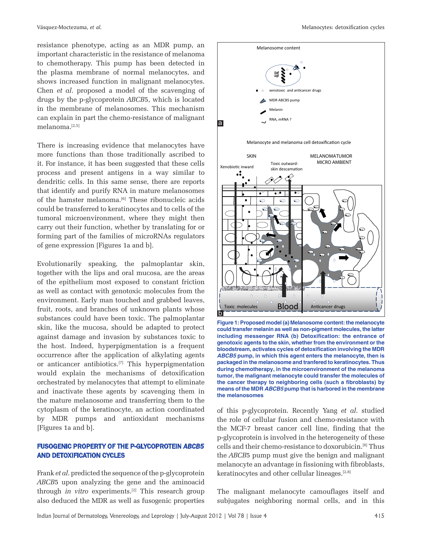resistance phenotype, acting as an MDR pump, an important characteristic in the resistance of melanoma to chemotherapy. This pump has been detected in the plasma membrane of normal melanocytes, and shows increased function in malignant melanocytes. Chen *et al*. proposed a model of the scavenging of drugs by the p-glycoprotein *ABCB*5, which is located in the membrane of melanosomes. This mechanism can explain in part the chemo-resistance of malignant melanoma.[2,5]

There is increasing evidence that melanocytes have more functions than those traditionally ascribed to it. For instance, it has been suggested that these cells process and present antigens in a way similar to dendritic cells. In this same sense, there are reports that identify and purify RNA in mature melanosomes of the hamster melanoma.[6] These ribonucleic acids could be transferred to keratinocytes and to cells of the tumoral microenvironment, where they might then carry out their function, whether by translating for or forming part of the families of microRNAs regulators of gene expression [Figures 1a and b].

Evolutionarily speaking, the palmoplantar skin, together with the lips and oral mucosa, are the areas of the epithelium most exposed to constant friction as well as contact with genotoxic molecules from the environment. Early man touched and grabbed leaves, fruit, roots, and branches of unknown plants whose substances could have been toxic. The palmoplantar skin, like the mucosa, should be adapted to protect against damage and invasion by substances toxic to the host. Indeed, hyperpigmentation is a frequent occurrence after the application of alkylating agents or anticancer antibiotics.[7] This hyperpigmentation would explain the mechanisms of detoxification orchestrated by melanocytes that attempt to eliminate and inactivate these agents by scavenging them in the mature melanosome and transferring them to the cytoplasm of the keratinocyte, an action coordinated by MDR pumps and antioxidant mechanisms [Figures 1a and b].

## FUSOGENIC PROPERTY OF THE P-GLYCOPROTEIN *ABCB5*  AND DETOXIFICATION CYCLES

Frank *et al*. predicted the sequence of the p-glycoprotein *ABCB*5 upon analyzing the gene and the aminoacid through *in vitro* experiments.[2] This research group also deduced the MDR as well as fusogenic properties



**Figure 1: Proposed model (a) Melanosome content: the melanocyte could transfer melanin as well as non-pigment molecules, the latter including messenger RNA (b) Detoxification: the entrance of genotoxic agents to the skin, whether from the environment or the bloodstream, activates cycles of detoxification involving the MDR**  *ABCB5* **pump, in which this agent enters the melanocyte, then is packaged in the melanosome and tranfered to keratinocytes. Thus during chemotherapy, in the microenvironment of the melanoma tumor, the malignant melanocyte could transfer the molecules of the cancer therapy to neighboring cells (such a fibroblasts) by means of the MDR** *ABCB5* **pump that is harbored in the membrane the melanosomes**

of this p-glycoprotein. Recently Yang *et al*. studied the role of cellular fusion and chemo-resistance with the MCF-7 breast cancer cell line, finding that the p-glycoprotein is involved in the heterogeneity of these cells and their chemo-resistance to doxorubicin.[8] Thus the *ABCB*5 pump must give the benign and malignant melanocyte an advantage in fissioning with fibroblasts, keratinocytes and other cellular lineages.[2,8]

The malignant melanocyte camouflages itself and subjugates neighboring normal cells, and in this